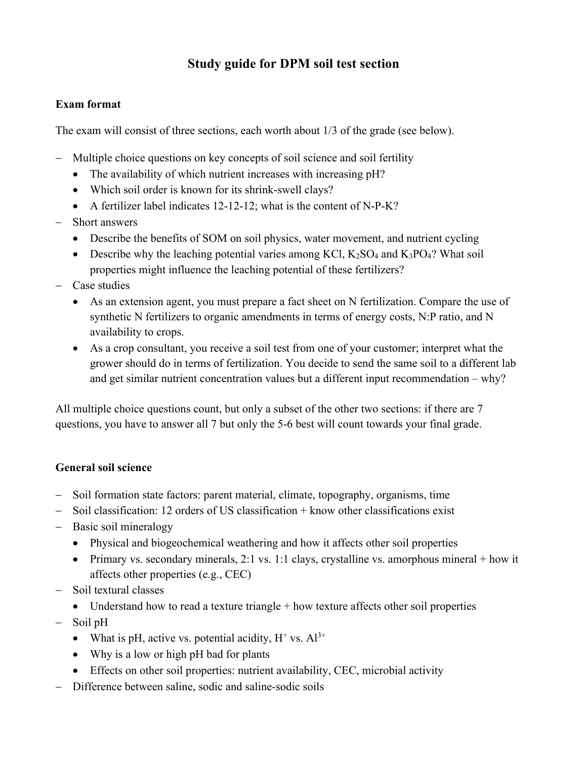## **Study guide for DPM soil test section**

## **Exam format**

The exam will consist of three sections, each worth about 1/3 of the grade (see below).

- Multiple choice questions on key concepts of soil science and soil fertility
	- The availability of which nutrient increases with increasing pH?
	- Which soil order is known for its shrink-swell clays?
	- A fertilizer label indicates 12-12-12; what is the content of N-P-K?
- Short answers
	- Describe the benefits of SOM on soil physics, water movement, and nutrient cycling
	- Describe why the leaching potential varies among KCl,  $K_2SO_4$  and  $K_3PO_4$ ? What soil properties might influence the leaching potential of these fertilizers?
- Case studies
	- As an extension agent, you must prepare a fact sheet on N fertilization. Compare the use of synthetic N fertilizers to organic amendments in terms of energy costs, N:P ratio, and N availability to crops.
	- As a crop consultant, you receive a soil test from one of your customer; interpret what the grower should do in terms of fertilization. You decide to send the same soil to a different lab and get similar nutrient concentration values but a different input recommendation – why?

All multiple choice questions count, but only a subset of the other two sections: if there are 7 questions, you have to answer all 7 but only the 5-6 best will count towards your final grade.

## **General soil science**

- Soil formation state factors: parent material, climate, topography, organisms, time
- Soil classification: 12 orders of US classification + know other classifications exist
- Basic soil mineralogy
	- Physical and biogeochemical weathering and how it affects other soil properties
	- Primary vs. secondary minerals, 2:1 vs. 1:1 clays, crystalline vs. amorphous mineral + how it affects other properties (e.g., CEC)
- Soil textural classes
	- Understand how to read a texture triangle  $+$  how texture affects other soil properties
- Soil pH
	- What is pH, active vs. potential acidity,  $H^+$  vs.  $Al^{3+}$
	- Why is a low or high pH bad for plants
	- Effects on other soil properties: nutrient availability, CEC, microbial activity
- Difference between saline, sodic and saline-sodic soils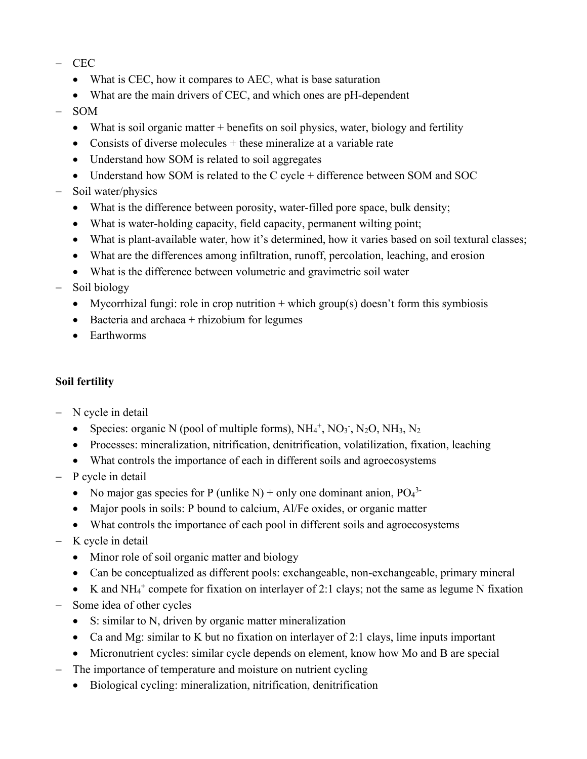- CEC
	- What is CEC, how it compares to AEC, what is base saturation
	- What are the main drivers of CEC, and which ones are pH-dependent
- SOM
	- What is soil organic matter + benefits on soil physics, water, biology and fertility
	- Consists of diverse molecules  $+$  these mineralize at a variable rate
	- Understand how SOM is related to soil aggregates
	- Understand how SOM is related to the C cycle + difference between SOM and SOC
- Soil water/physics
	- What is the difference between porosity, water-filled pore space, bulk density;
	- What is water-holding capacity, field capacity, permanent wilting point;
	- What is plant-available water, how it's determined, how it varies based on soil textural classes;
	- What are the differences among infiltration, runoff, percolation, leaching, and erosion
	- What is the difference between volumetric and gravimetric soil water
- Soil biology
	- Mycorrhizal fungi: role in crop nutrition  $+$  which group(s) doesn't form this symbiosis
	- Bacteria and archaea  $+$  rhizobium for legumes
	- Earthworms

## **Soil fertility**

- N cycle in detail
	- Species: organic N (pool of multiple forms),  $NH_4^+$ ,  $NO_3^-$ ,  $N_2O$ ,  $NH_3$ ,  $N_2$
	- Processes: mineralization, nitrification, denitrification, volatilization, fixation, leaching
	- What controls the importance of each in different soils and agroecosystems
- P cycle in detail
	- No major gas species for P (unlike N) + only one dominant anion,  $PO<sub>4</sub><sup>3</sup>$
	- Major pools in soils: P bound to calcium, Al/Fe oxides, or organic matter
	- What controls the importance of each pool in different soils and agroecosystems
- K cycle in detail
	- Minor role of soil organic matter and biology
	- Can be conceptualized as different pools: exchangeable, non-exchangeable, primary mineral
	- K and NH4 <sup>+</sup> compete for fixation on interlayer of 2:1 clays; not the same as legume N fixation
- Some idea of other cycles
	- S: similar to N, driven by organic matter mineralization
	- Ca and Mg: similar to K but no fixation on interlayer of 2:1 clays, lime inputs important
	- Micronutrient cycles: similar cycle depends on element, know how Mo and B are special
- The importance of temperature and moisture on nutrient cycling
	- Biological cycling: mineralization, nitrification, denitrification